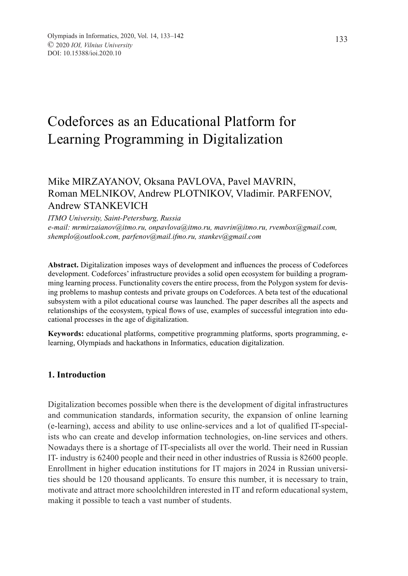# Codeforces as an Educational Platform for Learning Programming in Digitalization

## Mike MIRZAYANOV, Oksana PAVLOVA, Pavel MAVRIN, Roman MELNIKOV, Andrew PLOTNIKOV, Vladimir. PARFENOV, Andrew STANKEVICH

*ITMO University, Saint-Petersburg, Russia e-mail: mrmirzaianov@itmo.ru, onpavlova@itmo.ru, mavrin@itmo.ru, rvembox@gmail.com, shemplo@outlook.com, parfenov@mail.ifmo.ru, stankev@gmail.com*

**Abstract.** Digitalization imposes ways of development and influences the process of Codeforces development. Codeforces' infrastructure provides a solid open ecosystem for building a programming learning process. Functionality covers the entire process, from the Polygon system for devising problems to mashup contests and private groups on Codeforces. A beta test of the educational subsystem with a pilot educational course was launched. The paper describes all the aspects and relationships of the ecosystem, typical flows of use, examples of successful integration into educational processes in the age of digitalization.

**Keywords:** educational platforms, competitive programming platforms, sports programming, elearning, Olympiads and hackathons in Informatics, education digitalization.

#### **1. Introduction**

Digitalization becomes possible when there is the development of digital infrastructures and communication standards, information security, the expansion of online learning (e-learning), access and ability to use online-services and a lot of qualified IT-specialists who can create and develop information technologies, on-line services and others. Nowadays there is a shortage of IT-specialists all over the world. Their need in Russian IT- industry is 62400 people and their need in other industries of Russia is 82600 people. Enrollment in higher education institutions for IT majors in 2024 in Russian universities should be 120 thousand applicants. To ensure this number, it is necessary to train, motivate and attract more schoolchildren interested in IT and reform educational system, making it possible to teach a vast number of students.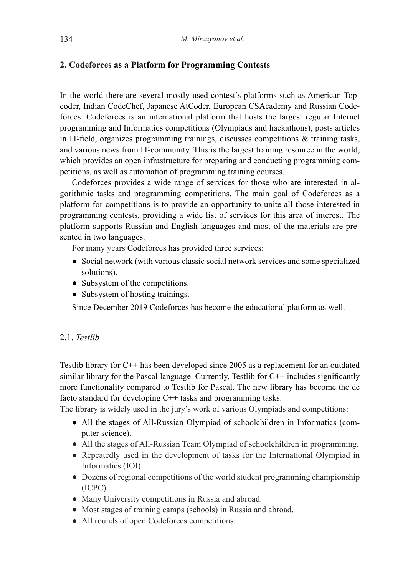#### **2. Codeforces as a Platform for Programming Contests**

In the world there are several mostly used contest's platforms such as American Topcoder, Indian CodeChef, Japanese AtCoder, European CSAcademy and Russian Codeforces. Codeforces is an international platform that hosts the largest regular Internet programming and Informatics competitions (Olympiads and hackathons), posts articles in IT-field, organizes programming trainings, discusses competitions & training tasks, and various news from IT-community. This is the largest training resource in the world, which provides an open infrastructure for preparing and conducting programming competitions, as well as automation of programming training courses.

Codeforces provides a wide range of services for those who are interested in algorithmic tasks and programming competitions. The main goal of Codeforces as a platform for competitions is to provide an opportunity to unite all those interested in programming contests, providing a wide list of services for this area of interest. The platform supports Russian and English languages and most of the materials are presented in two languages.

For many years Codeforces has provided three services:

- Social network (with various classic social network services and some specialized solutions).
- Subsystem of the competitions.
- Subsystem of hosting trainings.

Since December 2019 Codeforces has become the educational platform as well.

### 2.1. *Testlib*

Testlib library for C++ has been developed since 2005 as a replacement for an outdated similar library for the Pascal language. Currently, Testlib for  $C++$  includes significantly more functionality compared to Testlib for Pascal. The new library has become the de facto standard for developing C++ tasks and programming tasks.

The library is widely used in the jury's work of various Olympiads and competitions:

- All the stages of All-Russian Olympiad of schoolchildren in Informatics (computer science).
- All the stages of All-Russian Team Olympiad of schoolchildren in programming.
- Repeatedly used in the development of tasks for the International Olympiad in Informatics (IOI).
- Dozens of regional competitions of the world student programming championship (ICPC).
- Many University competitions in Russia and abroad.
- Most stages of training camps (schools) in Russia and abroad.
- All rounds of open Codeforces competitions.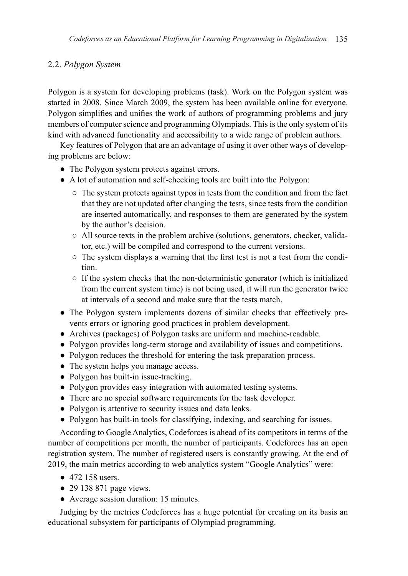## 2.2. *Polygon System*

Polygon is a system for developing problems (task). Work on the Polygon system was started in 2008. Since March 2009, the system has been available online for everyone. Polygon simplifies and unifies the work of authors of programming problems and jury members of computer science and programming Olympiads. This is the only system of its kind with advanced functionality and accessibility to a wide range of problem authors.

Key features of Polygon that are an advantage of using it over other ways of developing problems are below:

- The Polygon system protects against errors.
- A lot of automation and self-checking tools are built into the Polygon:
	- The system protects against typos in tests from the condition and from the fact that they are not updated after changing the tests, since tests from the condition are inserted automatically, and responses to them are generated by the system by the author's decision.
	- All source texts in the problem archive (solutions, generators, checker, validator, etc.) will be compiled and correspond to the current versions.
	- The system displays a warning that the first test is not a test from the condition.
	- If the system checks that the non-deterministic generator (which is initialized from the current system time) is not being used, it will run the generator twice at intervals of a second and make sure that the tests match.
- The Polygon system implements dozens of similar checks that effectively prevents errors or ignoring good practices in problem development.
- Archives (packages) of Polygon tasks are uniform and machine-readable.
- Polygon provides long-term storage and availability of issues and competitions.
- Polygon reduces the threshold for entering the task preparation process.
- The system helps you manage access.
- Polygon has built-in issue-tracking.
- Polygon provides easy integration with automated testing systems.
- There are no special software requirements for the task developer.
- Polygon is attentive to security issues and data leaks.
- Polygon has built-in tools for classifying, indexing, and searching for issues.

According to Google Analytics, Codeforces is ahead of its competitors in terms of the number of competitions per month, the number of participants. Codeforces has an open registration system. The number of registered users is constantly growing. At the end of 2019, the main metrics according to web analytics system "Google Analytics" were:

- 472 158 users.
- $\bullet$  29 138 871 page views.
- Average session duration: 15 minutes.

Judging by the metrics Codeforces has a huge potential for creating on its basis an educational subsystem for participants of Olympiad programming.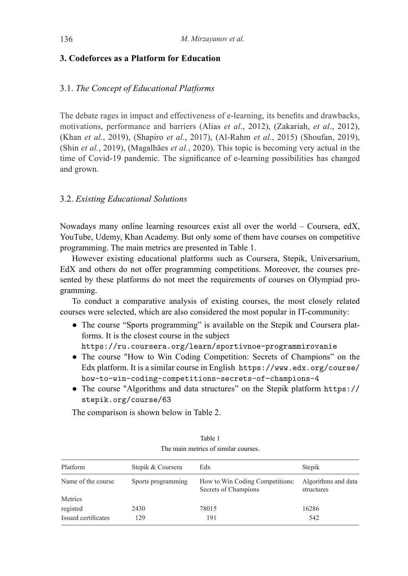#### **3. Codeforces as a Platform for Education**

#### 3.1. *The Concept of Educational Platforms*

The debate rages in impact and effectiveness of e-learning, its benefits and drawbacks, motivations, performance and barriers (Alias *et al*., 2012), (Zakariah, *et al*., 2012), (Khan *et al.*, 2019), (Shapiro *et al.*, 2017), (Al-Rahm *et al.*, 2015) (Shoufan, 2019), (Shin *et al.*, 2019), (Magalhães *et al.*, 2020). This topic is becoming very actual in the time of Covid-19 pandemic. The significance of e-learning possibilities has changed and grown.

#### 3.2. *Existing Educational Solutions*

Nowadays many online learning resources exist all over the world – Coursera, edX, YouTube, Udemy, Khan Academy. But only some of them have courses on competitive programming. The main metrics are presented in Table 1.

However existing educational platforms such as Coursera, Stepik, Universarium, EdX and others do not offer programming competitions. Moreover, the courses presented by these platforms do not meet the requirements of courses on Olympiad programming.

To conduct a comparative analysis of existing courses, the most closely related courses were selected, which are also considered the most popular in IT-community:

- The course "Sports programming" is available on the Stepik and Coursera platforms. It is the closest course in the subject https://ru.coursera.org/learn/sportivnoe-programmirovanie
- The course "How to Win Coding Competition: Secrets of Champions" on the Edx platform. It is a similar course in English https://www.edx.org/course/ how-to-win-coding-competitions-secrets-of-champions-4
- The course "Algorithms and data structures" on the Stepik platform https:// stepik.org/course/63

The comparison is shown below in Table 2.

| Platform            | Stepik & Coursera  | Edx                                                     | Stepik                            |
|---------------------|--------------------|---------------------------------------------------------|-----------------------------------|
| Name of the course  | Sports programming | How to Win Coding Competitions:<br>Secrets of Champions | Algorithms and data<br>structures |
| Metrics             |                    |                                                         |                                   |
| registed            | 2430               | 78015                                                   | 16286                             |
| Issued certificates | 129                | 191                                                     | 542                               |

Table 1 The main metrics of similar courses.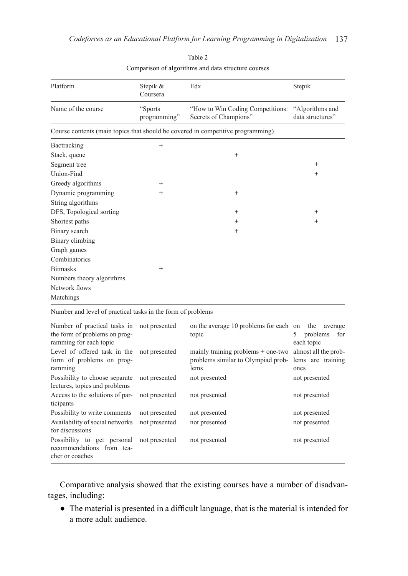| Platform                                                             | Stepik &<br>Coursera    | Edx                                                                                | Stepik                                            |  |
|----------------------------------------------------------------------|-------------------------|------------------------------------------------------------------------------------|---------------------------------------------------|--|
| Name of the course                                                   | "Sports<br>programming" | "How to Win Coding Competitions:<br>Secrets of Champions"                          | "Algorithms and<br>data structures"               |  |
|                                                                      |                         | Course contents (main topics that should be covered in competitive programming)    |                                                   |  |
| Bactracking                                                          | $^{+}$                  |                                                                                    |                                                   |  |
| Stack, queue                                                         |                         | $^{+}$                                                                             |                                                   |  |
| Segment tree                                                         |                         |                                                                                    | $^{+}$                                            |  |
| Union-Find                                                           |                         |                                                                                    | $^{+}$                                            |  |
| Greedy algorithms                                                    | $^+$                    |                                                                                    |                                                   |  |
| Dynamic programming                                                  | $^{+}$                  | $^{+}$                                                                             |                                                   |  |
| String algorithms                                                    |                         |                                                                                    |                                                   |  |
| DFS, Topological sorting                                             |                         | $^{+}$                                                                             | $^{+}$                                            |  |
| Shortest paths                                                       |                         | $^{+}$                                                                             | $^{+}$                                            |  |
| Binary search                                                        |                         | $^{+}$                                                                             |                                                   |  |
| Binary climbing                                                      |                         |                                                                                    |                                                   |  |
| Graph games                                                          |                         |                                                                                    |                                                   |  |
| Combinatorics                                                        |                         |                                                                                    |                                                   |  |
| <b>Bitmasks</b>                                                      | $^{+}$                  |                                                                                    |                                                   |  |
| Numbers theory algorithms                                            |                         |                                                                                    |                                                   |  |
| Network flows                                                        |                         |                                                                                    |                                                   |  |
| Matchings                                                            |                         |                                                                                    |                                                   |  |
| Number and level of practical tasks in the form of problems          |                         |                                                                                    |                                                   |  |
| Number of practical tasks in                                         | not presented           | on the average 10 problems for each on                                             | the<br>average                                    |  |
| the form of problems on prog-<br>ramming for each topic              |                         | topic                                                                              | problems<br>5<br>for<br>each topic                |  |
| Level of offered task in the<br>form of problems on prog-<br>ramming | not presented           | mainly training problems $+$ one-two<br>problems similar to Olympiad prob-<br>lems | almost all the prob-<br>lems are training<br>ones |  |
| Possibility to choose separate<br>lectures, topics and problems      | not presented           | not presented                                                                      | not presented                                     |  |
| Access to the solutions of par-<br>ticipants                         | not presented           | not presented                                                                      | not presented                                     |  |
| Possibility to write comments                                        | not presented           | not presented                                                                      | not presented                                     |  |
| Availability of social networks<br>for discussions                   | not presented           | not presented                                                                      | not presented                                     |  |
| Possibility to get personal<br>recommendations from tea-             | not presented           | not presented                                                                      | not presented                                     |  |

Table 2 Comparison of algorithms and data structure courses

Comparative analysis showed that the existing courses have a number of disadvantages, including:

cher or coaches

● The material is presented in a difficult language, that is the material is intended for a more adult audience.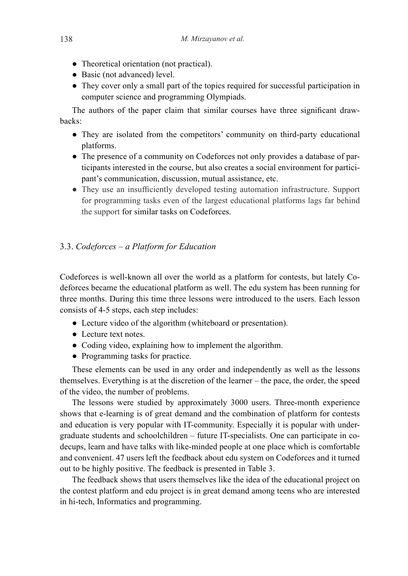- Theoretical orientation (not practical).
- Basic (not advanced) level.
- They cover only a small part of the topics required for successful participation in computer science and programming Olympiads.

The authors of the paper claim that similar courses have three significant drawbacks:

- They are isolated from the competitors' community on third-party educational platforms.
- The presence of a community on Codeforces not only provides a database of participants interested in the course, but also creates a social environment for participant's communication, discussion, mutual assistance, etc.
- They use an insufficiently developed testing automation infrastructure. Support for programming tasks even of the largest educational platforms lags far behind the support for similar tasks on Codeforces.

## 3.3. *Codeforces – a Platform for Education*

Codeforces is well-known all over the world as a platform for contests, but lately Codeforces became the educational platform as well. The edu system has been running for three months. During this time three lessons were introduced to the users. Each lesson consists of 4-5 steps, each step includes:

- Lecture video of the algorithm (whiteboard or presentation).
- Lecture text notes.
- Coding video, explaining how to implement the algorithm.
- Programming tasks for practice.

These elements can be used in any order and independently as well as the lessons themselves. Everything is at the discretion of the learner – the pace, the order, the speed of the video, the number of problems.

The lessons were studied by approximately 3000 users. Three-month experience shows that e-learning is of great demand and the combination of platform for contests and education is very popular with IT-community. Especially it is popular with undergraduate students and schoolchildren – future IT-specialists. One can participate in codecups, learn and have talks with like-minded people at one place which is comfortable and convenient. 47 users left the feedback about edu system on Codeforces and it turned out to be highly positive. The feedback is presented in Table 3.

The feedback shows that users themselves like the idea of the educational project on the contest platform and edu project is in great demand among teens who are interested in hi-tech, Informatics and programming.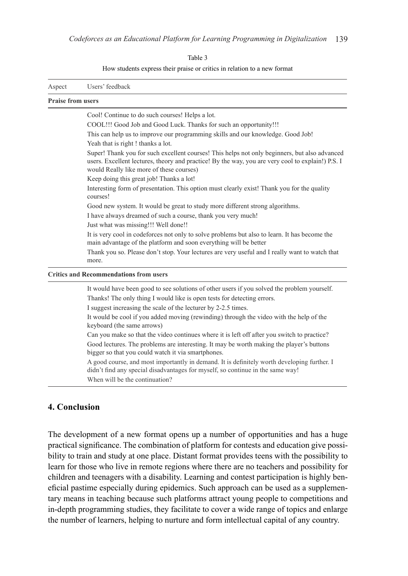Table 3

How students express their praise or critics in relation to a new format

| Aspect                   | Users' feedback                                                                                                                                                                                                                                |
|--------------------------|------------------------------------------------------------------------------------------------------------------------------------------------------------------------------------------------------------------------------------------------|
| <b>Praise from users</b> |                                                                                                                                                                                                                                                |
|                          | Cool! Continue to do such courses! Helps a lot.                                                                                                                                                                                                |
|                          | COOL!!! Good Job and Good Luck. Thanks for such an opportunity!!!                                                                                                                                                                              |
|                          | This can help us to improve our programming skills and our knowledge. Good Job!                                                                                                                                                                |
|                          | Yeah that is right! thanks a lot.                                                                                                                                                                                                              |
|                          | Super! Thank you for such excellent courses! This helps not only beginners, but also advanced<br>users. Excellent lectures, theory and practice! By the way, you are very cool to explain!) P.S. I<br>would Really like more of these courses) |
|                          | Keep doing this great job! Thanks a lot!                                                                                                                                                                                                       |
|                          | Interesting form of presentation. This option must clearly exist! Thank you for the quality<br>courses!                                                                                                                                        |
|                          | Good new system. It would be great to study more different strong algorithms.                                                                                                                                                                  |
|                          | I have always dreamed of such a course, thank you very much!                                                                                                                                                                                   |
|                          | Just what was missing!!! Well done!!                                                                                                                                                                                                           |
|                          | It is very cool in codeforces not only to solve problems but also to learn. It has become the<br>main advantage of the platform and soon everything will be better                                                                             |
|                          | Thank you so. Please don't stop. Your lectures are very useful and I really want to watch that<br>more.                                                                                                                                        |
|                          | <b>Critics and Recommendations from users</b>                                                                                                                                                                                                  |
|                          | It would have been good to see solutions of other users if you solved the problem yourself.<br>Thanks! The only thing I would like is open tests for detecting errors.                                                                         |
|                          | I suggest increasing the scale of the lecturer by 2-2.5 times.<br>It would be cool if you added moving (rewinding) through the video with the help of the<br>keyboard (the same arrows)                                                        |
|                          | Can you make so that the video continues where it is left off after you switch to practice?                                                                                                                                                    |
|                          | Good lectures. The problems are interesting. It may be worth making the player's buttons<br>bigger so that you could watch it via smartphones.                                                                                                 |
|                          | A good course, and most importantly in demand. It is definitely worth developing further. I<br>didn't find any special disadvantages for myself, so continue in the same way!<br>When will be the continuation?                                |
|                          |                                                                                                                                                                                                                                                |

## **4. Conclusion**

The development of a new format opens up a number of opportunities and has a huge practical significance. The combination of platform for contests and education give possibility to train and study at one place. Distant format provides teens with the possibility to learn for those who live in remote regions where there are no teachers and possibility for children and teenagers with a disability. Learning and contest participation is highly beneficial pastime especially during epidemics. Such approach can be used as a supplementary means in teaching because such platforms attract young people to competitions and in-depth programming studies, they facilitate to cover a wide range of topics and enlarge the number of learners, helping to nurture and form intellectual capital of any country.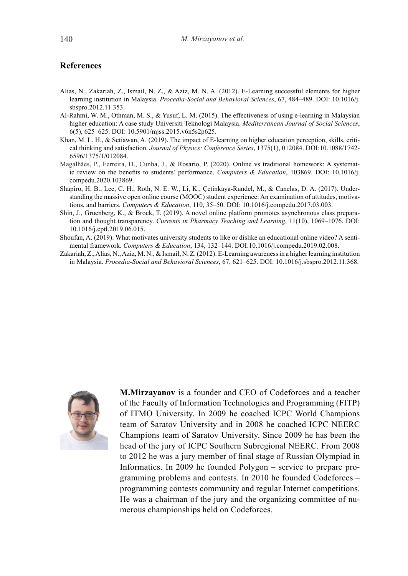#### **References**

- Alias, N., Zakariah, Z., Ismail, N. Z., & Aziz, M. N. A. (2012). E-Learning successful elements for higher learning institution in Malaysia. *Procedia-Social and Behavioral Sciences*, 67, 484–489. DOI: 10.1016/j. sbspro.2012.11.353.
- Al-Rahmi, W. M., Othman, M. S., & Yusuf, L. M. (2015). The effectiveness of using e-learning in Malaysian higher education: A case study Universiti Teknologi Malaysia. *Mediterranean Journal of Social Sciences*, 6(5), 625–625. DOI: 10.5901/mjss.2015.v6n5s2p625.
- Khan, M. L. H., & Setiawan, A. (2019). The impact of E-learning on higher education perception, skills, critical thinking and satisfaction. *Journal of Physics: Conference Series*, 1375(1), 012084. DOI:10.1088/1742- 6596/1375/1/012084.
- Magalhães, P., Ferreira, D., Cunha, J., & Rosário, P. (2020). Online vs traditional homework: A systematic review on the benefits to students' performance. *Computers & Education*, 103869. DOI: 10.1016/j. compedu.2020.103869.
- Shapiro, H. B., Lee, C. H., Roth, N. E. W., Li, K., Çetinkaya-Rundel, M., & Canelas, D. A. (2017). Understanding the massive open online course (MOOC) student experience: An examination of attitudes, motivations, and barriers. *Computers & Education*, 110, 35–50. DOI: 10.1016/j.compedu.2017.03.003.
- Shin, J., Gruenberg, K., & Brock, T. (2019). A novel online platform promotes asynchronous class preparation and thought transparency. *Currents in Pharmacy Teaching and Learning*, 11(10), 1069–1076. DOI: 10.1016/j.cptl.2019.06.015.
- Shoufan, A. (2019). What motivates university students to like or dislike an educational online video? A sentimental framework. *Computers & Education*, 134, 132–144. DOI:10.1016/j.compedu.2019.02.008.
- Zakariah, Z., Alias, N., Aziz, M. N., & Ismail, N. Z. (2012). E-Learning awareness in a higher learning institution in Malaysia. *Procedia-Social and Behavioral Sciences*, 67, 621–625. DOI: 10.1016/j.sbspro.2012.11.368.



**M.Mirzayanov** is a founder and CEO of Codeforces and a teacher of the Faculty of Information Technologies and Programming (FITP) of ITMO University. In 2009 he coached ICPC World Champions team of Saratov University and in 2008 he coached ICPC NEERC Champions team of Saratov University. Since 2009 he has been the head of the jury of ICPC Southern Subregional NEERC. From 2008 to 2012 he was a jury member of final stage of Russian Olympiad in Informatics. In 2009 he founded Polygon – service to prepare programming problems and contests. In 2010 he founded Codeforces – programming contests community and regular Internet competitions. He was a chairman of the jury and the organizing committee of numerous championships held on Codeforces.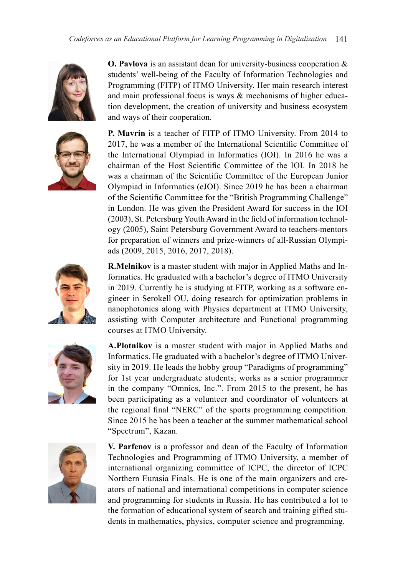



**O. Pavlova** is an assistant dean for university-business cooperation & students' well-being of the Faculty of Information Technologies and Programming (FITP) of ITMO University. Her main research interest and main professional focus is ways & mechanisms of higher education development, the creation of university and business ecosystem and ways of their cooperation.

**P. Mavrin** is a teacher of FITP of ITMO University. From 2014 to 2017, he was a member of the International Scientific Committee of the International Olympiad in Informatics (IOI). In 2016 he was a chairman of the Host Scientific Committee of the IOI. In 2018 he was a chairman of the Scientific Committee of the European Junior Olympiad in Informatics (eJOI). Since 2019 he has been a chairman of the Scientific Committee for the "British Programming Challenge" in London. He was given the President Award for success in the IOI (2003), St. Petersburg Youth Award in the field of information technology (2005), Saint Petersburg Government Award to teachers-mentors for preparation of winners and prize-winners of all-Russian Olympiads (2009, 2015, 2016, 2017, 2018).



**R.Melnikov** is a master student with major in Applied Maths and Informatics. He graduated with a bachelor's degree of ITMO University in 2019. Currently he is studying at FITP, working as a software engineer in Serokell OU, doing research for optimization problems in nanophotonics along with Physics department at ITMO University, assisting with Computer architecture and Functional programming courses at ITMO University.



**A.Plotnikov** is a master student with major in Applied Maths and Informatics. He graduated with a bachelor's degree of ITMO University in 2019. He leads the hobby group "Paradigms of programming" for 1st year undergraduate students; works as a senior programmer in the company "Omnics, Inc.". From 2015 to the present, he has been participating as a volunteer and coordinator of volunteers at the regional final "NERC" of the sports programming competition. Since 2015 he has been a teacher at the summer mathematical school "Spectrum", Kazan.



**V. Parfenov** is a professor and dean of the Faculty of Information Technologies and Programming of ITMO University, a member of international organizing committee of ICPC, the director of ICPC Northern Eurasia Finals. He is one of the main organizers and creators of national and international competitions in computer science and programming for students in Russia. He has contributed a lot to the formation of educational system of search and training gifted students in mathematics, physics, computer science and programming.